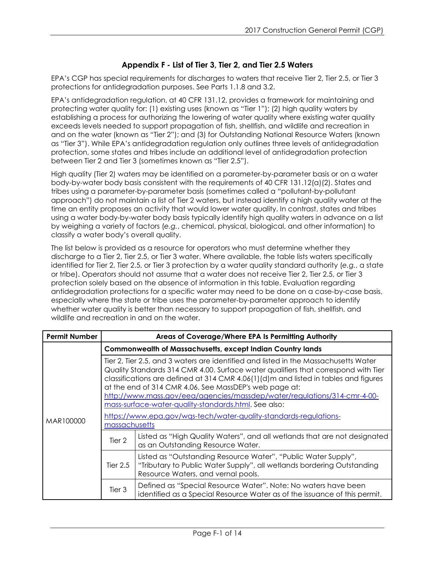## **Appendix F - List of Tier 3, Tier 2, and Tier 2.5 Waters**

EPA's CGP has special requirements for discharges to waters that receive Tier 2, Tier 2.5, or Tier 3 protections for antidegradation purposes. See Parts 1.1.8 and 3.2.

EPA's antidegradation regulation, at 40 CFR 131.12, provides a framework for maintaining and protecting water quality for: (1) existing uses (known as "Tier 1"); (2) high quality waters by establishing a process for authorizing the lowering of water quality where existing water quality exceeds levels needed to support propagation of fish, shellfish, and wildlife and recreation in and on the water (known as "Tier 2"); and (3) for Outstanding National Resource Waters (known as "Tier 3"). While EPA's antidegradation regulation only outlines three levels of antidegradation protection, some states and tribes include an additional level of antidegradation protection between Tier 2 and Tier 3 (sometimes known as "Tier 2.5").

High quality (Tier 2) waters may be identified on a parameter-by-parameter basis or on a water body-by-water body basis consistent with the requirements of 40 CFR 131.12(a)(2). States and tribes using a parameter-by-parameter basis (sometimes called a "pollutant-by-pollutant approach") do not maintain a list of Tier 2 waters, but instead identify a high quality water at the time an entity proposes an activity that would lower water quality. In contrast, states and tribes using a water body-by-water body basis typically identify high quality waters in advance on a list by weighing a variety of factors (*e.g.*, chemical, physical, biological, and other information) to classify a water body's overall quality.

The list below is provided as a resource for operators who must determine whether they discharge to a Tier 2, Tier 2.5, or Tier 3 water. Where available, the table lists waters specifically identified for Tier 2, Tier 2.5, or Tier 3 protection by a water quality standard authority (*e.g.*, a state or tribe). Operators should not assume that a water does not receive Tier 2, Tier 2.5, or Tier 3 protection solely based on the absence of information in this table. Evaluation regarding antidegradation protections for a specific water may need to be done on a case-by-case basis, especially where the state or tribe uses the parameter-by-parameter approach to identify whether water quality is better than necessary to support propagation of fish, shellfish, and wildlife and recreation in and on the water.

| <b>Permit Number</b> | Areas of Coverage/Where EPA Is Permitting Authority                                                                                                                                                                                                                                                                                                                                                                                                                                                                                                  |                                                                                                                                                                                |  |
|----------------------|------------------------------------------------------------------------------------------------------------------------------------------------------------------------------------------------------------------------------------------------------------------------------------------------------------------------------------------------------------------------------------------------------------------------------------------------------------------------------------------------------------------------------------------------------|--------------------------------------------------------------------------------------------------------------------------------------------------------------------------------|--|
|                      |                                                                                                                                                                                                                                                                                                                                                                                                                                                                                                                                                      | <b>Commonwealth of Massachusetts, except Indian Country lands</b>                                                                                                              |  |
| MAR100000            | Tier 2, Tier 2.5, and 3 waters are identified and listed in the Massachusetts Water<br>Quality Standards 314 CMR 4.00. Surface water qualifiers that correspond with Tier<br>classifications are defined at 314 CMR 4.06(1)(d)m and listed in tables and figures<br>at the end of 314 CMR 4.06. See MassDEP's web page at:<br>http://www.mass.gov/eea/agencies/massdep/water/regulations/314-cmr-4-00-<br>mass-surface-water-quality-standards.html. See also:<br>https://www.epa.gov/wgs-tech/water-quality-standards-regulations-<br>massachusetts |                                                                                                                                                                                |  |
|                      | Tier 2                                                                                                                                                                                                                                                                                                                                                                                                                                                                                                                                               | Listed as "High Quality Waters", and all wetlands that are not designated<br>as an Outstanding Resource Water.                                                                 |  |
|                      | Tier $2.5$                                                                                                                                                                                                                                                                                                                                                                                                                                                                                                                                           | Listed as "Outstanding Resource Water", "Public Water Supply",<br>"Tributary to Public Water Supply", all wetlands bordering Outstanding<br>Resource Waters, and vernal pools. |  |
|                      | Tier 3                                                                                                                                                                                                                                                                                                                                                                                                                                                                                                                                               | Defined as "Special Resource Water". Note: No waters have been<br>identified as a Special Resource Water as of the issuance of this permit.                                    |  |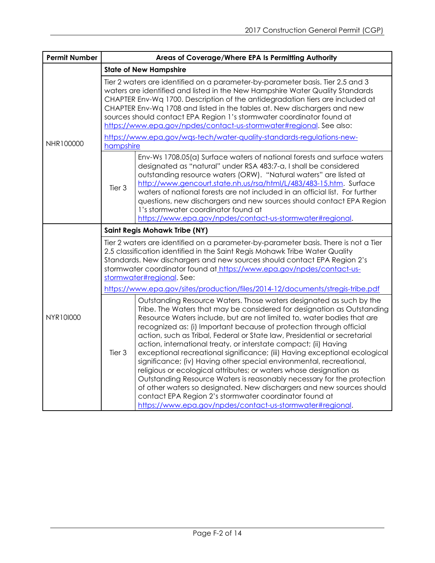| <b>Permit Number</b> | Areas of Coverage/Where EPA Is Permitting Authority                                                                                                                                                                                                                                                                                                                                                                                                                                                                                                                                                                                                                                                                                                                                                                                                                                                                                                              |  |  |
|----------------------|------------------------------------------------------------------------------------------------------------------------------------------------------------------------------------------------------------------------------------------------------------------------------------------------------------------------------------------------------------------------------------------------------------------------------------------------------------------------------------------------------------------------------------------------------------------------------------------------------------------------------------------------------------------------------------------------------------------------------------------------------------------------------------------------------------------------------------------------------------------------------------------------------------------------------------------------------------------|--|--|
|                      | <b>State of New Hampshire</b>                                                                                                                                                                                                                                                                                                                                                                                                                                                                                                                                                                                                                                                                                                                                                                                                                                                                                                                                    |  |  |
|                      | Tier 2 waters are identified on a parameter-by-parameter basis. Tier 2.5 and 3<br>waters are identified and listed in the New Hampshire Water Quality Standards<br>CHAPTER Env-Wq 1700. Description of the antidegradation tiers are included at<br>CHAPTER Env-Wq 1708 and listed in the tables at. New dischargers and new<br>sources should contact EPA Region 1's stormwater coordinator found at<br>https://www.epa.gov/npdes/contact-us-stormwater#regional. See also:<br>https://www.epa.gov/wgs-tech/water-quality-standards-regulations-new-                                                                                                                                                                                                                                                                                                                                                                                                            |  |  |
| NHR100000            | hampshire                                                                                                                                                                                                                                                                                                                                                                                                                                                                                                                                                                                                                                                                                                                                                                                                                                                                                                                                                        |  |  |
|                      | Env-Ws 1708.05(a) Surface waters of national forests and surface waters<br>designated as "natural" under RSA 483:7-a, I shall be considered<br>outstanding resource waters (ORW). "Natural waters" are listed at<br>http://www.gencourt.state.nh.us/rsa/html/L/483/483-15.htm. Surface<br>Tier 3<br>waters of national forests are not included in an official list. For further<br>questions, new dischargers and new sources should contact EPA Region<br>1's stormwater coordinator found at<br>https://www.epa.gov/npdes/contact-us-stormwater#regional.                                                                                                                                                                                                                                                                                                                                                                                                     |  |  |
|                      | <b>Saint Regis Mohawk Tribe (NY)</b>                                                                                                                                                                                                                                                                                                                                                                                                                                                                                                                                                                                                                                                                                                                                                                                                                                                                                                                             |  |  |
|                      | Tier 2 waters are identified on a parameter-by-parameter basis. There is not a Tier<br>2.5 classification identified in the Saint Regis Mohawk Tribe Water Quality<br>Standards. New dischargers and new sources should contact EPA Region 2's<br>stormwater coordinator found at https://www.epa.gov/npdes/contact-us-<br>stormwater#regional. See:                                                                                                                                                                                                                                                                                                                                                                                                                                                                                                                                                                                                             |  |  |
|                      | https://www.epa.gov/sites/production/files/2014-12/documents/stregis-tribe.pdf                                                                                                                                                                                                                                                                                                                                                                                                                                                                                                                                                                                                                                                                                                                                                                                                                                                                                   |  |  |
| NYR101000            | Outstanding Resource Waters. Those waters designated as such by the<br>Tribe. The Waters that may be considered for designation as Outstanding<br>Resource Waters include, but are not limited to, water bodies that are<br>recognized as: (i) Important because of protection through official<br>action, such as Tribal, Federal or State law, Presidential or secretarial<br>action, international treaty, or interstate compact; (ii) Having<br>Tier 3<br>exceptional recreational significance; (iii) Having exceptional ecological<br>significance; (iv) Having other special environmental, recreational,<br>religious or ecological attributes; or waters whose designation as<br>Outstanding Resource Waters is reasonably necessary for the protection<br>of other waters so designated. New dischargers and new sources should<br>contact EPA Region 2's stormwater coordinator found at<br>https://www.epa.gov/npdes/contact-us-stormwater#regional. |  |  |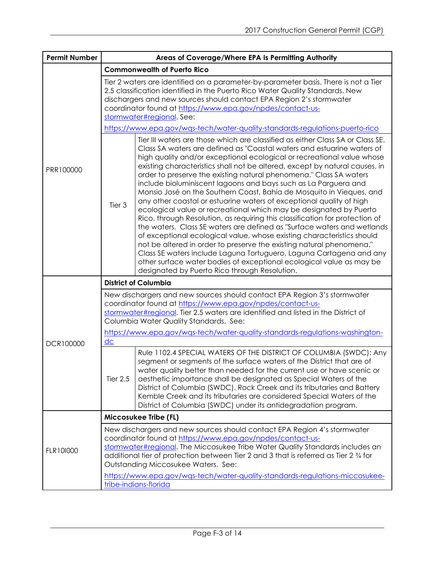| <b>Permit Number</b> | Areas of Coverage/Where EPA Is Permitting Authority                                                                                                                                                                                                                                                                                                               |                                                                                                                                                                                                                                                                                                                                                                                                                                                                                                                                                                                                                                                                                                                                                                                                                                                                                                                                                                                                                                                                                                                                                                                               |  |
|----------------------|-------------------------------------------------------------------------------------------------------------------------------------------------------------------------------------------------------------------------------------------------------------------------------------------------------------------------------------------------------------------|-----------------------------------------------------------------------------------------------------------------------------------------------------------------------------------------------------------------------------------------------------------------------------------------------------------------------------------------------------------------------------------------------------------------------------------------------------------------------------------------------------------------------------------------------------------------------------------------------------------------------------------------------------------------------------------------------------------------------------------------------------------------------------------------------------------------------------------------------------------------------------------------------------------------------------------------------------------------------------------------------------------------------------------------------------------------------------------------------------------------------------------------------------------------------------------------------|--|
|                      | <b>Commonwealth of Puerto Rico</b>                                                                                                                                                                                                                                                                                                                                |                                                                                                                                                                                                                                                                                                                                                                                                                                                                                                                                                                                                                                                                                                                                                                                                                                                                                                                                                                                                                                                                                                                                                                                               |  |
|                      | Tier 2 waters are identified on a parameter-by-parameter basis. There is not a Tier<br>2.5 classification identified in the Puerto Rico Water Quality Standards. New<br>dischargers and new sources should contact EPA Region 2's stormwater<br>coordinator found at https://www.epa.gov/npdes/contact-us-<br>stormwater#regional. See:                           |                                                                                                                                                                                                                                                                                                                                                                                                                                                                                                                                                                                                                                                                                                                                                                                                                                                                                                                                                                                                                                                                                                                                                                                               |  |
|                      |                                                                                                                                                                                                                                                                                                                                                                   | https://www.epa.gov/wqs-tech/water-quality-standards-regulations-puerto-rico                                                                                                                                                                                                                                                                                                                                                                                                                                                                                                                                                                                                                                                                                                                                                                                                                                                                                                                                                                                                                                                                                                                  |  |
| PRR100000            | Tier 3                                                                                                                                                                                                                                                                                                                                                            | Tier III waters are those which are classified as either Class SA or Class SE.<br>Class SA waters are defined as "Coastal waters and estuarine waters of<br>high quality and/or exceptional ecological or recreational value whose<br>existing characteristics shall not be altered, except by natural causes, in<br>order to preserve the existing natural phenomena." Class SA waters<br>include bioluminiscent lagoons and bays such as La Parguera and<br>Monsio José on the Southern Coast, Bahía de Mosquito in Vieques, and<br>any other coastal or estuarine waters of exceptional quality of high<br>ecological value or recreational which may be designated by Puerto<br>Rico, through Resolution, as requiring this classification for protection of<br>the waters. Class SE waters are defined as "Surface waters and wetlands<br>of exceptional ecological value, whose existing characteristics should<br>not be altered in order to preserve the existing natural phenomena."<br>Class SE waters include Laguna Tortuguero, Laguna Cartagena and any<br>other surface water bodies of exceptional ecological value as may be<br>designated by Puerto Rico through Resolution. |  |
|                      |                                                                                                                                                                                                                                                                                                                                                                   | <b>District of Columbia</b>                                                                                                                                                                                                                                                                                                                                                                                                                                                                                                                                                                                                                                                                                                                                                                                                                                                                                                                                                                                                                                                                                                                                                                   |  |
|                      |                                                                                                                                                                                                                                                                                                                                                                   | New dischargers and new sources should contact EPA Region 3's stormwater<br>coordinator found at https://www.epa.gov/npdes/contact-us-<br>stormwater#regional. Tier 2.5 waters are identified and listed in the District of<br>Columbia Water Quality Standards. See:                                                                                                                                                                                                                                                                                                                                                                                                                                                                                                                                                                                                                                                                                                                                                                                                                                                                                                                         |  |
| DCR100000            | $\underline{dc}$                                                                                                                                                                                                                                                                                                                                                  | https://www.epa.gov/wgs-tech/water-quality-standards-regulations-washington-                                                                                                                                                                                                                                                                                                                                                                                                                                                                                                                                                                                                                                                                                                                                                                                                                                                                                                                                                                                                                                                                                                                  |  |
|                      | <b>Tier 2.5</b>                                                                                                                                                                                                                                                                                                                                                   | Rule 1102.4 SPECIAL WATERS OF THE DISTRICT OF COLUMBIA (SWDC): Any<br>segment or segments of the surface waters of the District that are of<br>water quality better than needed for the current use or have scenic or<br>aesthetic importance shall be designated as Special Waters of the<br>District of Columbia (SWDC). Rock Creek and its tributaries and Battery<br>Kemble Creek and its tributaries are considered Special Waters of the<br>District of Columbia (SWDC) under its antidegradation program.                                                                                                                                                                                                                                                                                                                                                                                                                                                                                                                                                                                                                                                                              |  |
|                      |                                                                                                                                                                                                                                                                                                                                                                   | Miccosukee Tribe (FL)                                                                                                                                                                                                                                                                                                                                                                                                                                                                                                                                                                                                                                                                                                                                                                                                                                                                                                                                                                                                                                                                                                                                                                         |  |
| FLR101000            | New dischargers and new sources should contact EPA Region 4's stormwater<br>coordinator found at https://www.epa.gov/npdes/contact-us-<br>stormwater#regional. The Miccosukee Tribe Water Quality Standards includes an<br>additional tier of protection between Tier 2 and 3 that is referred as Tier 2 $\frac{3}{4}$ for<br>Outstanding Miccosukee Waters. See: |                                                                                                                                                                                                                                                                                                                                                                                                                                                                                                                                                                                                                                                                                                                                                                                                                                                                                                                                                                                                                                                                                                                                                                                               |  |
|                      |                                                                                                                                                                                                                                                                                                                                                                   | https://www.epa.gov/wgs-tech/water-quality-standards-regulations-miccosukee-<br>tribe-indians-florida                                                                                                                                                                                                                                                                                                                                                                                                                                                                                                                                                                                                                                                                                                                                                                                                                                                                                                                                                                                                                                                                                         |  |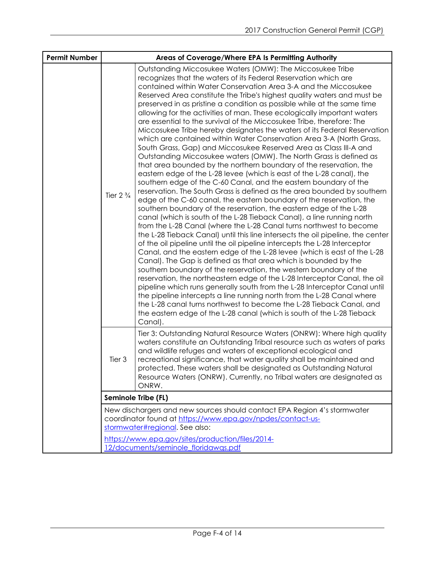| <b>Permit Number</b> | Areas of Coverage/Where EPA Is Permitting Authority |                                                                                                                                                                                                                                                                                                                                                                                                                                                                                                                                                                                                                                                                                                                                                                                                                                                                                                                                                                                                                                                                                                                                                                                                                                                                                                                                                                                                                                                                                                                                                                                                                                                                                                                                                                                                                                                                                                                                                                                                                                                                                                                                                                                             |
|----------------------|-----------------------------------------------------|---------------------------------------------------------------------------------------------------------------------------------------------------------------------------------------------------------------------------------------------------------------------------------------------------------------------------------------------------------------------------------------------------------------------------------------------------------------------------------------------------------------------------------------------------------------------------------------------------------------------------------------------------------------------------------------------------------------------------------------------------------------------------------------------------------------------------------------------------------------------------------------------------------------------------------------------------------------------------------------------------------------------------------------------------------------------------------------------------------------------------------------------------------------------------------------------------------------------------------------------------------------------------------------------------------------------------------------------------------------------------------------------------------------------------------------------------------------------------------------------------------------------------------------------------------------------------------------------------------------------------------------------------------------------------------------------------------------------------------------------------------------------------------------------------------------------------------------------------------------------------------------------------------------------------------------------------------------------------------------------------------------------------------------------------------------------------------------------------------------------------------------------------------------------------------------------|
|                      | Tier $2\frac{3}{4}$                                 | Outstanding Miccosukee Waters (OMW): The Miccosukee Tribe<br>recognizes that the waters of its Federal Reservation which are<br>contained within Water Conservation Area 3-A and the Miccosukee<br>Reserved Area constitute the Tribe's highest quality waters and must be<br>preserved in as pristine a condition as possible while at the same time<br>allowing for the activities of man. These ecologically important waters<br>are essential to the survival of the Miccosukee Tribe, therefore: The<br>Miccosukee Tribe hereby designates the waters of its Federal Reservation<br>which are contained within Water Conservation Area 3-A (North Grass,<br>South Grass, Gap) and Miccosukee Reserved Area as Class III-A and<br>Outstanding Miccosukee waters (OMW). The North Grass is defined as<br>that area bounded by the northern boundary of the reservation, the<br>eastern edge of the L-28 levee (which is east of the L-28 canal), the<br>southern edge of the C-60 Canal, and the eastern boundary of the<br>reservation. The South Grass is defined as the area bounded by southern<br>edge of the C-60 canal, the eastern boundary of the reservation, the<br>southern boundary of the reservation, the eastern edge of the L-28<br>canal (which is south of the L-28 Tieback Canal), a line running north<br>from the L-28 Canal (where the L-28 Canal turns northwest to become<br>the L-28 Tieback Canal) until this line intersects the oil pipeline, the center<br>of the oil pipeline until the oil pipeline intercepts the L-28 Interceptor<br>Canal, and the eastern edge of the L-28 levee (which is east of the L-28<br>Canal). The Gap is defined as that area which is bounded by the<br>southern boundary of the reservation, the western boundary of the<br>reservation, the northeastern edge of the L-28 Interceptor Canal, the oil<br>pipeline which runs generally south from the L-28 Interceptor Canal until<br>the pipeline intercepts a line running north from the L-28 Canal where<br>the L-28 canal turns northwest to become the L-28 Tieback Canal, and<br>the eastern edge of the L-28 canal (which is south of the L-28 Tieback<br>Canal). |
|                      | Tier 3                                              | Tier 3: Outstanding Natural Resource Waters (ONRW): Where high quality<br>waters constitute an Outstanding Tribal resource such as waters of parks<br>and wildlife refuges and waters of exceptional ecological and<br>recreational significance, that water quality shall be maintained and<br>protected. These waters shall be designated as Outstanding Natural<br>Resource Waters (ONRW). Currently, no Tribal waters are designated as<br>ONRW.                                                                                                                                                                                                                                                                                                                                                                                                                                                                                                                                                                                                                                                                                                                                                                                                                                                                                                                                                                                                                                                                                                                                                                                                                                                                                                                                                                                                                                                                                                                                                                                                                                                                                                                                        |
|                      |                                                     | Seminole Tribe (FL)                                                                                                                                                                                                                                                                                                                                                                                                                                                                                                                                                                                                                                                                                                                                                                                                                                                                                                                                                                                                                                                                                                                                                                                                                                                                                                                                                                                                                                                                                                                                                                                                                                                                                                                                                                                                                                                                                                                                                                                                                                                                                                                                                                         |
|                      |                                                     | New dischargers and new sources should contact EPA Region 4's stormwater<br>coordinator found at https://www.epa.gov/npdes/contact-us-<br>stormwater#regional. See also:                                                                                                                                                                                                                                                                                                                                                                                                                                                                                                                                                                                                                                                                                                                                                                                                                                                                                                                                                                                                                                                                                                                                                                                                                                                                                                                                                                                                                                                                                                                                                                                                                                                                                                                                                                                                                                                                                                                                                                                                                    |
|                      |                                                     | https://www.epa.gov/sites/production/files/2014-<br>12/documents/seminole floridawgs.pdf                                                                                                                                                                                                                                                                                                                                                                                                                                                                                                                                                                                                                                                                                                                                                                                                                                                                                                                                                                                                                                                                                                                                                                                                                                                                                                                                                                                                                                                                                                                                                                                                                                                                                                                                                                                                                                                                                                                                                                                                                                                                                                    |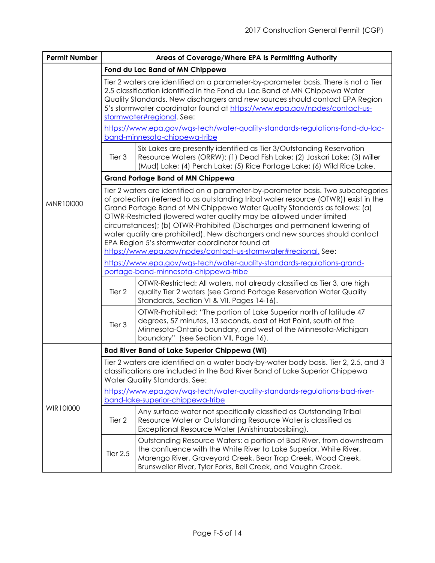| <b>Permit Number</b> | Areas of Coverage/Where EPA Is Permitting Authority                                                                                                                                                                                                                                                                                                                                                                                                                                                                                                                                                             |                                                                                                                                                                                                                                                                             |  |  |
|----------------------|-----------------------------------------------------------------------------------------------------------------------------------------------------------------------------------------------------------------------------------------------------------------------------------------------------------------------------------------------------------------------------------------------------------------------------------------------------------------------------------------------------------------------------------------------------------------------------------------------------------------|-----------------------------------------------------------------------------------------------------------------------------------------------------------------------------------------------------------------------------------------------------------------------------|--|--|
|                      |                                                                                                                                                                                                                                                                                                                                                                                                                                                                                                                                                                                                                 | Fond du Lac Band of MN Chippewa                                                                                                                                                                                                                                             |  |  |
|                      | Tier 2 waters are identified on a parameter-by-parameter basis. There is not a Tier<br>2.5 classification identified in the Fond du Lac Band of MN Chippewa Water<br>Quality Standards. New dischargers and new sources should contact EPA Region<br>5's stormwater coordinator found at https://www.epa.gov/npdes/contact-us-<br>stormwater#regional. See:                                                                                                                                                                                                                                                     |                                                                                                                                                                                                                                                                             |  |  |
|                      | https://www.epa.gov/wqs-tech/water-quality-standards-regulations-fond-du-lac-<br>band-minnesota-chippewa-tribe                                                                                                                                                                                                                                                                                                                                                                                                                                                                                                  |                                                                                                                                                                                                                                                                             |  |  |
|                      | Tier 3                                                                                                                                                                                                                                                                                                                                                                                                                                                                                                                                                                                                          | Six Lakes are presently identified as Tier 3/Outstanding Reservation<br>Resource Waters (ORRW): (1) Dead Fish Lake; (2) Jaskari Lake; (3) Miller<br>(Mud) Lake; (4) Perch Lake; (5) Rice Portage Lake; (6) Wild Rice Lake.                                                  |  |  |
|                      |                                                                                                                                                                                                                                                                                                                                                                                                                                                                                                                                                                                                                 | <b>Grand Portage Band of MN Chippewa</b>                                                                                                                                                                                                                                    |  |  |
| MNR101000            | Tier 2 waters are identified on a parameter-by-parameter basis. Two subcategories<br>of protection (referred to as outstanding tribal water resource (OTWR)) exist in the<br>Grand Portage Band of MN Chippewa Water Quality Standards as follows: (a)<br>OTWR-Restricted (lowered water quality may be allowed under limited<br>circumstances); (b) OTWR-Prohibited (Discharges and permanent lowering of<br>water quality are prohibited). New dischargers and new sources should contact<br>EPA Region 5's stormwater coordinator found at<br>https://www.epa.gov/npdes/contact-us-stormwater#regional. See: |                                                                                                                                                                                                                                                                             |  |  |
|                      | https://www.epa.gov/wgs-tech/water-quality-standards-regulations-grand-                                                                                                                                                                                                                                                                                                                                                                                                                                                                                                                                         |                                                                                                                                                                                                                                                                             |  |  |
|                      | portage-band-minnesota-chippewa-tribe                                                                                                                                                                                                                                                                                                                                                                                                                                                                                                                                                                           |                                                                                                                                                                                                                                                                             |  |  |
|                      | Tier <sub>2</sub>                                                                                                                                                                                                                                                                                                                                                                                                                                                                                                                                                                                               | OTWR-Restricted: All waters, not already classified as Tier 3, are high<br>quality Tier 2 waters (see Grand Portage Reservation Water Quality<br>Standards, Section VI & VII, Pages 14-16).                                                                                 |  |  |
|                      | Tier 3                                                                                                                                                                                                                                                                                                                                                                                                                                                                                                                                                                                                          | OTWR-Prohibited: "The portion of Lake Superior north of latitude 47<br>degrees, 57 minutes, 13 seconds, east of Hat Point, south of the<br>Minnesota-Ontario boundary, and west of the Minnesota-Michigan<br>boundary" (see Section VII, Page 16).                          |  |  |
|                      |                                                                                                                                                                                                                                                                                                                                                                                                                                                                                                                                                                                                                 | <b>Bad River Band of Lake Superior Chippewa (WI)</b>                                                                                                                                                                                                                        |  |  |
| WIR101000            | Tier 2 waters are identified on a water body-by-water body basis. Tier 2, 2.5, and 3<br>classifications are included in the Bad River Band of Lake Superior Chippewa<br>Water Quality Standards. See:                                                                                                                                                                                                                                                                                                                                                                                                           |                                                                                                                                                                                                                                                                             |  |  |
|                      | https://www.epa.gov/wgs-tech/water-quality-standards-regulations-bad-river-<br>band-lake-superior-chippewa-tribe                                                                                                                                                                                                                                                                                                                                                                                                                                                                                                |                                                                                                                                                                                                                                                                             |  |  |
|                      | Tier 2                                                                                                                                                                                                                                                                                                                                                                                                                                                                                                                                                                                                          | Any surface water not specifically classified as Outstanding Tribal<br>Resource Water or Outstanding Resource Water is classified as<br>Exceptional Resource Water (Anishinaabosibiing).                                                                                    |  |  |
|                      | Tier $2.5$                                                                                                                                                                                                                                                                                                                                                                                                                                                                                                                                                                                                      | Outstanding Resource Waters: a portion of Bad River, from downstream<br>the confluence with the White River to Lake Superior, White River,<br>Marengo River, Graveyard Creek, Bear Trap Creek, Wood Creek,<br>Brunsweiler River, Tyler Forks, Bell Creek, and Vaughn Creek. |  |  |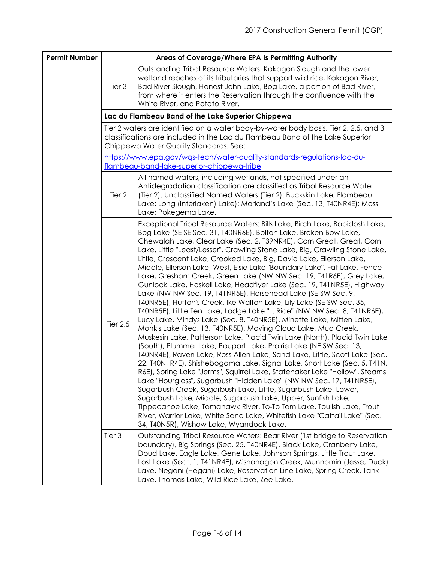| <b>Permit Number</b> | Areas of Coverage/Where EPA Is Permitting Authority |                                                                                                                                                                                                                                                                                                                                                                                                                                                                                                                                                                                                                                                                                                                                                                                                                                                                                                                                                                                                                                                                                                                                                                                                                                                                                                                                                                                                                                                                                                                                                                                                                                                                                                                                                                                |  |
|----------------------|-----------------------------------------------------|--------------------------------------------------------------------------------------------------------------------------------------------------------------------------------------------------------------------------------------------------------------------------------------------------------------------------------------------------------------------------------------------------------------------------------------------------------------------------------------------------------------------------------------------------------------------------------------------------------------------------------------------------------------------------------------------------------------------------------------------------------------------------------------------------------------------------------------------------------------------------------------------------------------------------------------------------------------------------------------------------------------------------------------------------------------------------------------------------------------------------------------------------------------------------------------------------------------------------------------------------------------------------------------------------------------------------------------------------------------------------------------------------------------------------------------------------------------------------------------------------------------------------------------------------------------------------------------------------------------------------------------------------------------------------------------------------------------------------------------------------------------------------------|--|
|                      | Tier 3                                              | Outstanding Tribal Resource Waters: Kakagon Slough and the lower<br>wetland reaches of its tributaries that support wild rice, Kakagon River,<br>Bad River Slough, Honest John Lake, Bog Lake, a portion of Bad River,<br>from where it enters the Reservation through the confluence with the<br>White River, and Potato River.                                                                                                                                                                                                                                                                                                                                                                                                                                                                                                                                                                                                                                                                                                                                                                                                                                                                                                                                                                                                                                                                                                                                                                                                                                                                                                                                                                                                                                               |  |
|                      | Lac du Flambeau Band of the Lake Superior Chippewa  |                                                                                                                                                                                                                                                                                                                                                                                                                                                                                                                                                                                                                                                                                                                                                                                                                                                                                                                                                                                                                                                                                                                                                                                                                                                                                                                                                                                                                                                                                                                                                                                                                                                                                                                                                                                |  |
|                      |                                                     | Tier 2 waters are identified on a water body-by-water body basis. Tier 2, 2.5, and 3<br>classifications are included in the Lac du Flambeau Band of the Lake Superior<br>Chippewa Water Quality Standards. See:                                                                                                                                                                                                                                                                                                                                                                                                                                                                                                                                                                                                                                                                                                                                                                                                                                                                                                                                                                                                                                                                                                                                                                                                                                                                                                                                                                                                                                                                                                                                                                |  |
|                      |                                                     | https://www.epa.gov/wgs-tech/water-quality-standards-regulations-lac-du-<br>flambeau-band-lake-superior-chippewa-tribe                                                                                                                                                                                                                                                                                                                                                                                                                                                                                                                                                                                                                                                                                                                                                                                                                                                                                                                                                                                                                                                                                                                                                                                                                                                                                                                                                                                                                                                                                                                                                                                                                                                         |  |
|                      | Tier 2                                              | All named waters, including wetlands, not specified under an<br>Antidegradation classification are classified as Tribal Resource Water<br>(Tier 2). Unclassified Named Waters (Tier 2): Buckskin Lake; Flambeau<br>Lake; Long (Interlaken) Lake); Marland's Lake (Sec. 13, T40NR4E); Moss<br>Lake; Pokegema Lake.                                                                                                                                                                                                                                                                                                                                                                                                                                                                                                                                                                                                                                                                                                                                                                                                                                                                                                                                                                                                                                                                                                                                                                                                                                                                                                                                                                                                                                                              |  |
|                      | <b>Tier 2.5</b>                                     | Exceptional Tribal Resource Waters: Bills Lake, Birch Lake, Bobidosh Lake,<br>Bog Lake (SE SE Sec. 31, T40NR6E), Bolton Lake, Broken Bow Lake,<br>Chewalah Lake, Clear Lake (Sec. 2, T39NR4E), Corn Great, Great, Corn<br>Lake, Little "Least/Lesser", Crawling Stone Lake, Big, Crawling Stone Lake,<br>Little, Crescent Lake, Crooked Lake, Big, David Lake, Ellerson Lake,<br>Middle, Ellerson Lake, West, Elsie Lake "Boundary Lake", Fat Lake, Fence<br>Lake, Gresham Creek, Green Lake (NW NW Sec. 19, T41R6E), Grey Lake,<br>Gunlock Lake, Haskell Lake, Headflyer Lake (Sec. 19, T41NR5E), Highway<br>Lake (NW NW Sec. 19, T41NR5E), Horsehead Lake (SE SW Sec. 9,<br>T40NR5E), Hutton's Creek, Ike Walton Lake, Lily Lake (SE SW Sec. 35,<br>T40NR5E), Little Ten Lake, Lodge Lake "L. Rice" (NW NW Sec. 8, T41NR6E),<br>Lucy Lake, Mindys Lake (Sec. 8, T40NR5E), Minette Lake, Mitten Lake,<br>Monk's Lake (Sec. 13, T40NR5E), Moving Cloud Lake, Mud Creek,<br>Muskesin Lake, Patterson Lake, Placid Twin Lake (North), Placid Twin Lake<br>(South), Plummer Lake, Poupart Lake, Prairie Lake (NE SW Sec. 13,<br>T40NR4E), Raven Lake, Ross Allen Lake, Sand Lake, Little, Scott Lake (Sec.<br>22, T40N, R4E), Shishebogama Lake, Signal Lake, Snort Lake (Sec. 5, T41N,<br>R6E), Spring Lake "Jerms", Squirrel Lake, Statenaker Lake "Hollow", Stearns<br>Lake "Hourglass", Sugarbush "Hidden Lake" (NW NW Sec. 17, T41NR5E),<br>Sugarbush Creek, Sugarbush Lake, Little, Sugarbush Lake, Lower,<br>Sugarbush Lake, Middle, Sugarbush Lake, Upper, Sunfish Lake,<br>Tippecanoe Lake, Tomahawk River, To-To Tom Lake, Toulish Lake, Trout<br>River, Warrior Lake, White Sand Lake, Whitefish Lake "Cattail Lake" (Sec.<br>34, T40N5R), Wishow Lake, Wyandock Lake. |  |
|                      | Tier 3                                              | Outstanding Tribal Resource Waters: Bear River (1st bridge to Reservation<br>boundary), Big Springs (Sec. 25, T40NR4E), Black Lake, Cranberry Lake,<br>Doud Lake, Eagle Lake, Gene Lake, Johnson Springs, Little Trout Lake,<br>Lost Lake (Sect. 1, T41NR4E), Mishonagon Creek, Munnomin (Jesse, Duck)<br>Lake, Negani (Hegani) Lake, Reservation Line Lake, Spring Creek, Tank<br>Lake, Thomas Lake, Wild Rice Lake, Zee Lake.                                                                                                                                                                                                                                                                                                                                                                                                                                                                                                                                                                                                                                                                                                                                                                                                                                                                                                                                                                                                                                                                                                                                                                                                                                                                                                                                                |  |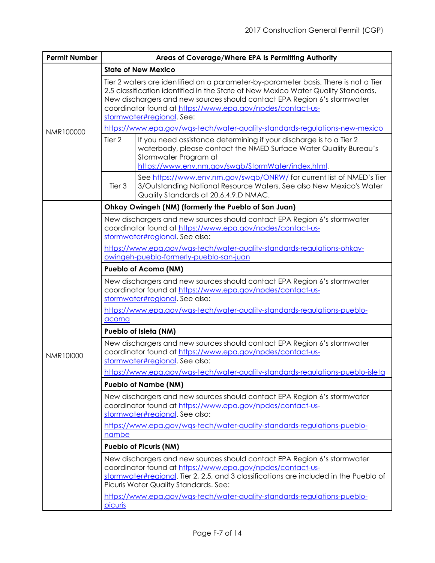| <b>Permit Number</b> | Areas of Coverage/Where EPA Is Permitting Authority                                                                                                                                                                                                                                                                                             |  |  |
|----------------------|-------------------------------------------------------------------------------------------------------------------------------------------------------------------------------------------------------------------------------------------------------------------------------------------------------------------------------------------------|--|--|
|                      | <b>State of New Mexico</b>                                                                                                                                                                                                                                                                                                                      |  |  |
|                      | Tier 2 waters are identified on a parameter-by-parameter basis. There is not a Tier<br>2.5 classification identified in the State of New Mexico Water Quality Standards.<br>New dischargers and new sources should contact EPA Region 6's stormwater<br>coordinator found at https://www.epa.gov/npdes/contact-us-<br>stormwater#regional. See: |  |  |
| NMR100000            | https://www.epa.gov/wqs-tech/water-quality-standards-regulations-new-mexico                                                                                                                                                                                                                                                                     |  |  |
|                      | Tier 2<br>If you need assistance determining if your discharge is to a Tier 2<br>waterbody, please contact the NMED Surface Water Quality Bureau's<br>Stormwater Program at<br>https://www.env.nm.gov/swqb/StormWater/index.html.                                                                                                               |  |  |
|                      | See https://www.env.nm.gov/swqb/ONRW/ for current list of NMED's Tier<br>Tier 3<br>3/Outstanding National Resource Waters. See also New Mexico's Water<br>Quality Standards at 20.6.4.9.D NMAC.                                                                                                                                                 |  |  |
|                      | Ohkay Owingeh (NM) (formerly the Pueblo of San Juan)                                                                                                                                                                                                                                                                                            |  |  |
|                      | New dischargers and new sources should contact EPA Region 6's stormwater<br>coordinator found at https://www.epa.gov/npdes/contact-us-<br>stormwater#regional. See also:                                                                                                                                                                        |  |  |
|                      | https://www.epa.gov/wgs-tech/water-quality-standards-regulations-ohkay-<br>owingeh-pueblo-formerly-pueblo-san-juan                                                                                                                                                                                                                              |  |  |
|                      | <b>Pueblo of Acoma (NM)</b>                                                                                                                                                                                                                                                                                                                     |  |  |
|                      | New dischargers and new sources should contact EPA Region 6's stormwater<br>coordinator found at https://www.epa.gov/npdes/contact-us-<br>stormwater#regional. See also:                                                                                                                                                                        |  |  |
|                      | https://www.epa.gov/wqs-tech/water-quality-standards-regulations-pueblo-<br>acoma                                                                                                                                                                                                                                                               |  |  |
|                      | Pueblo of Isleta (NM)                                                                                                                                                                                                                                                                                                                           |  |  |
| NMR101000            | New dischargers and new sources should contact EPA Region 6's stormwater<br>coordinator found at https://www.epa.gov/npdes/contact-us-<br>stormwater#regional. See also:                                                                                                                                                                        |  |  |
|                      | https://www.epa.gov/wgs-tech/water-quality-standards-regulations-pueblo-isleta                                                                                                                                                                                                                                                                  |  |  |
|                      | <b>Pueblo of Nambe (NM)</b>                                                                                                                                                                                                                                                                                                                     |  |  |
|                      | New dischargers and new sources should contact EPA Region 6's stormwater<br>coordinator found at https://www.epa.gov/npdes/contact-us-<br>stormwater#regional. See also:                                                                                                                                                                        |  |  |
|                      | https://www.epa.gov/wqs-tech/water-quality-standards-regulations-pueblo-<br>nambe                                                                                                                                                                                                                                                               |  |  |
|                      | <b>Pueblo of Picuris (NM)</b>                                                                                                                                                                                                                                                                                                                   |  |  |
|                      | New dischargers and new sources should contact EPA Region 6's stormwater<br>coordinator found at https://www.epa.gov/npdes/contact-us-<br>stormwater#regional. Tier 2, 2.5, and 3 classifications are included in the Pueblo of<br>Picuris Water Quality Standards. See:                                                                        |  |  |
|                      | https://www.epa.gov/wgs-tech/water-guality-standards-regulations-pueblo-<br>picuris                                                                                                                                                                                                                                                             |  |  |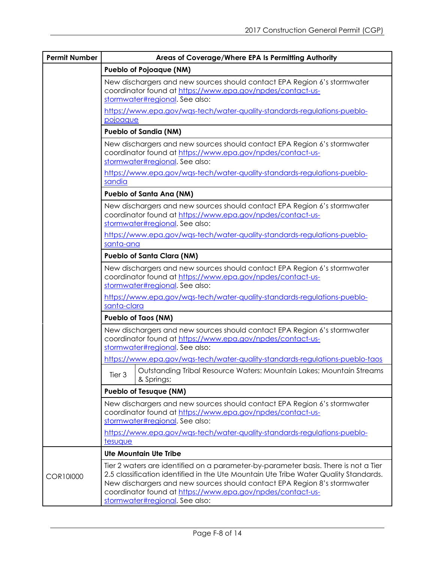| <b>Permit Number</b> | Areas of Coverage/Where EPA Is Permitting Authority                                                                                                                                                                                                                                                                                                     |  |  |
|----------------------|---------------------------------------------------------------------------------------------------------------------------------------------------------------------------------------------------------------------------------------------------------------------------------------------------------------------------------------------------------|--|--|
|                      | <b>Pueblo of Pojoaque (NM)</b>                                                                                                                                                                                                                                                                                                                          |  |  |
|                      | New dischargers and new sources should contact EPA Region 6's stormwater<br>coordinator found at https://www.epa.gov/npdes/contact-us-<br>stormwater#regional. See also:                                                                                                                                                                                |  |  |
|                      | https://www.epa.gov/wgs-tech/water-guality-standards-regulations-pueblo-<br>pojoaque                                                                                                                                                                                                                                                                    |  |  |
|                      | <b>Pueblo of Sandia (NM)</b>                                                                                                                                                                                                                                                                                                                            |  |  |
|                      | New dischargers and new sources should contact EPA Region 6's stormwater<br>coordinator found at https://www.epa.gov/npdes/contact-us-<br>stormwater#regional. See also:<br>https://www.epa.gov/wgs-tech/water-quality-standards-regulations-pueblo-<br>sandia                                                                                          |  |  |
|                      | Pueblo of Santa Ana (NM)                                                                                                                                                                                                                                                                                                                                |  |  |
|                      | New dischargers and new sources should contact EPA Region 6's stormwater<br>coordinator found at https://www.epa.gov/npdes/contact-us-<br>stormwater#regional. See also:                                                                                                                                                                                |  |  |
|                      | https://www.epa.gov/wqs-tech/water-quality-standards-regulations-pueblo-<br>santa-ana                                                                                                                                                                                                                                                                   |  |  |
|                      | <b>Pueblo of Santa Clara (NM)</b>                                                                                                                                                                                                                                                                                                                       |  |  |
|                      | New dischargers and new sources should contact EPA Region 6's stormwater<br>coordinator found at https://www.epa.gov/npdes/contact-us-<br>stormwater#regional. See also:<br>https://www.epa.gov/wgs-tech/water-guality-standards-regulations-pueblo-                                                                                                    |  |  |
|                      | santa-clara<br><b>Pueblo of Taos (NM)</b>                                                                                                                                                                                                                                                                                                               |  |  |
|                      | New dischargers and new sources should contact EPA Region 6's stormwater<br>coordinator found at https://www.epa.gov/npdes/contact-us-<br>stormwater#regional. See also:<br>https://www.epa.gov/wqs-tech/water-quality-standards-regulations-pueblo-taos                                                                                                |  |  |
|                      | Outstanding Tribal Resource Waters: Mountain Lakes; Mountain Streams<br>Tier 3<br>& Springs;                                                                                                                                                                                                                                                            |  |  |
|                      | <b>Pueblo of Tesuque (NM)</b>                                                                                                                                                                                                                                                                                                                           |  |  |
|                      | New dischargers and new sources should contact EPA Region 6's stormwater<br>coordinator found at https://www.epa.gov/npdes/contact-us-<br>stormwater#regional. See also:                                                                                                                                                                                |  |  |
|                      | https://www.epa.gov/wqs-tech/water-quality-standards-regulations-pueblo-<br>tesuque                                                                                                                                                                                                                                                                     |  |  |
|                      | <b>Ute Mountain Ute Tribe</b>                                                                                                                                                                                                                                                                                                                           |  |  |
| COR101000            | Tier 2 waters are identified on a parameter-by-parameter basis. There is not a Tier<br>2.5 classification identified in the Ute Mountain Ute Tribe Water Quality Standards.<br>New dischargers and new sources should contact EPA Region 8's stormwater<br>coordinator found at https://www.epa.gov/npdes/contact-us-<br>stormwater#regional. See also: |  |  |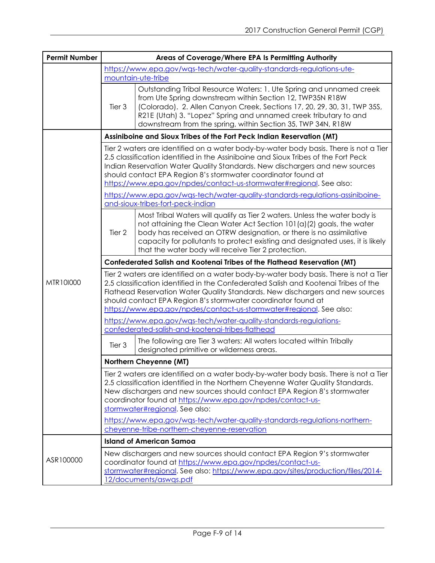| <b>Permit Number</b> | Areas of Coverage/Where EPA Is Permitting Authority                                                                                                                                                                                                                                                                                                                                                                                                                                |                                                                                                                                                                                                                                                                                                                                                                                                                                                                                     |  |
|----------------------|------------------------------------------------------------------------------------------------------------------------------------------------------------------------------------------------------------------------------------------------------------------------------------------------------------------------------------------------------------------------------------------------------------------------------------------------------------------------------------|-------------------------------------------------------------------------------------------------------------------------------------------------------------------------------------------------------------------------------------------------------------------------------------------------------------------------------------------------------------------------------------------------------------------------------------------------------------------------------------|--|
|                      | https://www.epa.gov/wgs-tech/water-quality-standards-regulations-ute-<br>mountain-ute-tribe                                                                                                                                                                                                                                                                                                                                                                                        |                                                                                                                                                                                                                                                                                                                                                                                                                                                                                     |  |
|                      | Tier 3                                                                                                                                                                                                                                                                                                                                                                                                                                                                             | Outstanding Tribal Resource Waters: 1. Ute Spring and unnamed creek<br>from Ute Spring downstream within Section 12, TWP35N R18W<br>(Colorado). 2. Allen Canyon Creek, Sections 17, 20, 29, 30, 31, TWP 35S,<br>R21E (Utah) 3. "Lopez" Spring and unnamed creek tributary to and<br>downstream from the spring, within Section 35, TWP 34N, R18W                                                                                                                                    |  |
|                      |                                                                                                                                                                                                                                                                                                                                                                                                                                                                                    | Assiniboine and Sioux Tribes of the Fort Peck Indian Reservation (MT)                                                                                                                                                                                                                                                                                                                                                                                                               |  |
|                      |                                                                                                                                                                                                                                                                                                                                                                                                                                                                                    | Tier 2 waters are identified on a water body-by-water body basis. There is not a Tier<br>2.5 classification identified in the Assiniboine and Sioux Tribes of the Fort Peck<br>Indian Reservation Water Quality Standards. New dischargers and new sources<br>should contact EPA Region 8's stormwater coordinator found at<br>https://www.epa.gov/npdes/contact-us-stormwater#regional. See also:<br>https://www.epa.gov/wqs-tech/water-quality-standards-regulations-assiniboine- |  |
|                      |                                                                                                                                                                                                                                                                                                                                                                                                                                                                                    | and-sioux-tribes-fort-peck-indian                                                                                                                                                                                                                                                                                                                                                                                                                                                   |  |
|                      | Tier 2                                                                                                                                                                                                                                                                                                                                                                                                                                                                             | Most Tribal Waters will qualify as Tier 2 waters. Unless the water body is<br>not attaining the Clean Water Act Section 101(a)(2) goals, the water<br>body has received an OTRW designation, or there is no assimilative<br>capacity for pollutants to protect existing and designated uses, it is likely<br>that the water body will receive Tier 2 protection.                                                                                                                    |  |
|                      |                                                                                                                                                                                                                                                                                                                                                                                                                                                                                    | Confederated Salish and Kootenai Tribes of the Flathead Reservation (MT)                                                                                                                                                                                                                                                                                                                                                                                                            |  |
| MTR10I000            | Tier 2 waters are identified on a water body-by-water body basis. There is not a Tier<br>2.5 classification identified in the Confederated Salish and Kootenai Tribes of the<br>Flathead Reservation Water Quality Standards. New dischargers and new sources<br>should contact EPA Region 8's stormwater coordinator found at<br>https://www.epa.gov/npdes/contact-us-stormwater#regional. See also:                                                                              |                                                                                                                                                                                                                                                                                                                                                                                                                                                                                     |  |
|                      |                                                                                                                                                                                                                                                                                                                                                                                                                                                                                    | https://www.epa.gov/wgs-tech/water-quality-standards-regulations-<br>confederated-salish-and-kootenai-tribes-flathead                                                                                                                                                                                                                                                                                                                                                               |  |
|                      | Tier 3                                                                                                                                                                                                                                                                                                                                                                                                                                                                             | The following are Tier 3 waters: All waters located within Tribally<br>designated primitive or wilderness areas.                                                                                                                                                                                                                                                                                                                                                                    |  |
|                      |                                                                                                                                                                                                                                                                                                                                                                                                                                                                                    | Northern Cheyenne (MT)                                                                                                                                                                                                                                                                                                                                                                                                                                                              |  |
|                      | Tier 2 waters are identified on a water body-by-water body basis. There is not a Tier<br>2.5 classification identified in the Northern Cheyenne Water Quality Standards.<br>New dischargers and new sources should contact EPA Region 8's stormwater<br>coordinator found at https://www.epa.gov/npdes/contact-us-<br>stormwater#regional. See also:<br>https://www.epa.gov/was-tech/water-quality-standards-regulations-northern-<br>cheyenne-tribe-northern-cheyenne-reservation |                                                                                                                                                                                                                                                                                                                                                                                                                                                                                     |  |
|                      |                                                                                                                                                                                                                                                                                                                                                                                                                                                                                    | <b>Island of American Samoa</b>                                                                                                                                                                                                                                                                                                                                                                                                                                                     |  |
| ASR100000            |                                                                                                                                                                                                                                                                                                                                                                                                                                                                                    | New dischargers and new sources should contact EPA Region 9's stormwater<br>coordinator found at https://www.epa.gov/npdes/contact-us-<br>stormwater#regional. See also: https://www.epa.gov/sites/production/files/2014-<br>12/documents/aswas.pdf                                                                                                                                                                                                                                 |  |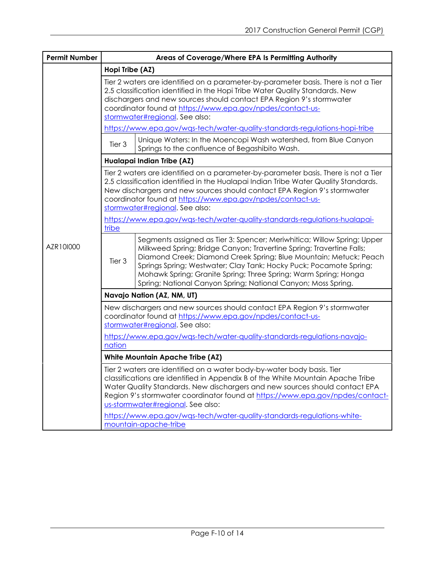| <b>Permit Number</b> | Areas of Coverage/Where EPA Is Permitting Authority                                                                                                                                                                                                                                                                                                            |                                                                                                                                                                                                                                                                                                                                                                                                                                |  |
|----------------------|----------------------------------------------------------------------------------------------------------------------------------------------------------------------------------------------------------------------------------------------------------------------------------------------------------------------------------------------------------------|--------------------------------------------------------------------------------------------------------------------------------------------------------------------------------------------------------------------------------------------------------------------------------------------------------------------------------------------------------------------------------------------------------------------------------|--|
|                      | Hopi Tribe (AZ)                                                                                                                                                                                                                                                                                                                                                |                                                                                                                                                                                                                                                                                                                                                                                                                                |  |
|                      | Tier 2 waters are identified on a parameter-by-parameter basis. There is not a Tier<br>2.5 classification identified in the Hopi Tribe Water Quality Standards. New<br>dischargers and new sources should contact EPA Region 9's stormwater<br>coordinator found at https://www.epa.gov/npdes/contact-us-<br>stormwater#regional. See also:                    |                                                                                                                                                                                                                                                                                                                                                                                                                                |  |
|                      |                                                                                                                                                                                                                                                                                                                                                                | https://www.epa.gov/wqs-tech/water-quality-standards-regulations-hopi-tribe                                                                                                                                                                                                                                                                                                                                                    |  |
|                      | Tier 3                                                                                                                                                                                                                                                                                                                                                         | Unique Waters: In the Moencopi Wash watershed, from Blue Canyon<br>Springs to the confluence of Begashibito Wash.                                                                                                                                                                                                                                                                                                              |  |
|                      |                                                                                                                                                                                                                                                                                                                                                                | Hualapai Indian Tribe (AZ)                                                                                                                                                                                                                                                                                                                                                                                                     |  |
|                      | Tier 2 waters are identified on a parameter-by-parameter basis. There is not a Tier<br>2.5 classification identified in the Hualapai Indian Tribe Water Quality Standards.<br>New dischargers and new sources should contact EPA Region 9's stormwater<br>coordinator found at https://www.epa.gov/npdes/contact-us-<br>stormwater#regional. See also:         |                                                                                                                                                                                                                                                                                                                                                                                                                                |  |
|                      | https://www.epa.gov/wqs-tech/water-quality-standards-regulations-hualapai-<br>tribe                                                                                                                                                                                                                                                                            |                                                                                                                                                                                                                                                                                                                                                                                                                                |  |
| AZR10I000            | Tier 3                                                                                                                                                                                                                                                                                                                                                         | Segments assigned as Tier 3: Spencer; Meriwhitica; Willow Spring; Upper<br>Milkweed Spring; Bridge Canyon; Travertine Spring; Travertine Falls;<br>Diamond Creek; Diamond Creek Spring; Blue Mountain; Metuck; Peach<br>Springs Spring; Westwater; Clay Tank; Hocky Puck; Pocamote Spring;<br>Mohawk Spring; Granite Spring; Three Spring; Warm Spring; Honga<br>Spring; National Canyon Spring; National Canyon; Moss Spring. |  |
|                      | Navajo Nation (AZ, NM, UT)                                                                                                                                                                                                                                                                                                                                     |                                                                                                                                                                                                                                                                                                                                                                                                                                |  |
|                      | New dischargers and new sources should contact EPA Region 9's stormwater<br>coordinator found at https://www.epa.gov/npdes/contact-us-<br>stormwater#regional. See also:                                                                                                                                                                                       |                                                                                                                                                                                                                                                                                                                                                                                                                                |  |
|                      | https://www.epa.gov/wgs-tech/water-quality-standards-regulations-navajo-<br>nation                                                                                                                                                                                                                                                                             |                                                                                                                                                                                                                                                                                                                                                                                                                                |  |
|                      | <b>White Mountain Apache Tribe (AZ)</b>                                                                                                                                                                                                                                                                                                                        |                                                                                                                                                                                                                                                                                                                                                                                                                                |  |
|                      | Tier 2 waters are identified on a water body-by-water body basis. Tier<br>classifications are identified in Appendix B of the White Mountain Apache Tribe<br>Water Quality Standards. New dischargers and new sources should contact EPA<br>Region 9's stormwater coordinator found at https://www.epa.gov/npdes/contact-<br>us-stormwater#regional. See also: |                                                                                                                                                                                                                                                                                                                                                                                                                                |  |
|                      | https://www.epa.gov/wqs-tech/water-quality-standards-regulations-white-<br>mountain-apache-tribe                                                                                                                                                                                                                                                               |                                                                                                                                                                                                                                                                                                                                                                                                                                |  |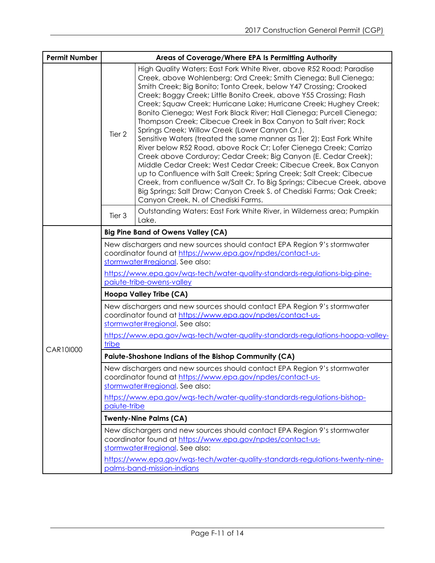| <b>Permit Number</b> | Areas of Coverage/Where EPA Is Permitting Authority  |                                                                                                                                                                                                                                                                                                                                                                                                                                                                                                                                                                                                                                                                                                                                                                                                                                                                                                                                                                                                                                                                                                               |  |
|----------------------|------------------------------------------------------|---------------------------------------------------------------------------------------------------------------------------------------------------------------------------------------------------------------------------------------------------------------------------------------------------------------------------------------------------------------------------------------------------------------------------------------------------------------------------------------------------------------------------------------------------------------------------------------------------------------------------------------------------------------------------------------------------------------------------------------------------------------------------------------------------------------------------------------------------------------------------------------------------------------------------------------------------------------------------------------------------------------------------------------------------------------------------------------------------------------|--|
|                      | Tier 2                                               | High Quality Waters: East Fork White River, above R52 Road; Paradise<br>Creek, above Wohlenberg; Ord Creek; Smith Cienega; Bull Cienega;<br>Smith Creek; Big Bonito; Tonto Creek, below Y47 Crossing; Crooked<br>Creek; Boggy Creek; Little Bonito Creek, above Y55 Crossing; Flash<br>Creek; Squaw Creek; Hurricane Lake; Hurricane Creek; Hughey Creek;<br>Bonito Cienega; West Fork Black River; Hall Cienega; Purcell Cienega;<br>Thompson Creek; Cibecue Creek in Box Canyon to Salt river; Rock<br>Springs Creek; Willow Creek (Lower Canyon Cr.).<br>Sensitive Waters (treated the same manner as Tier 2): East Fork White<br>River below R52 Road, above Rock Cr; Lofer Cienega Creek; Carrizo<br>Creek above Corduroy; Cedar Creek; Big Canyon (E. Cedar Creek);<br>Middle Cedar Creek; West Cedar Creek; Cibecue Creek, Box Canyon<br>up to Confluence with Salt Creek; Spring Creek; Salt Creek; Cibecue<br>Creek, from confluence w/Salt Cr. To Big Springs; Cibecue Creek, above<br>Big Springs; Salt Draw; Canyon Creek S. of Chediski Farms; Oak Creek;<br>Canyon Creek, N. of Chediski Farms. |  |
|                      | Tier 3                                               | Outstanding Waters: East Fork White River, in Wilderness area; Pumpkin<br>Lake.                                                                                                                                                                                                                                                                                                                                                                                                                                                                                                                                                                                                                                                                                                                                                                                                                                                                                                                                                                                                                               |  |
|                      |                                                      | <b>Big Pine Band of Owens Valley (CA)</b>                                                                                                                                                                                                                                                                                                                                                                                                                                                                                                                                                                                                                                                                                                                                                                                                                                                                                                                                                                                                                                                                     |  |
|                      |                                                      | New dischargers and new sources should contact EPA Region 9's stormwater<br>coordinator found at https://www.epa.gov/npdes/contact-us-<br>stormwater#regional. See also:<br>https://www.epa.gov/wqs-tech/water-quality-standards-regulations-big-pine-<br>paiute-tribe-owens-valley                                                                                                                                                                                                                                                                                                                                                                                                                                                                                                                                                                                                                                                                                                                                                                                                                           |  |
|                      |                                                      | Hoopa Valley Tribe (CA)                                                                                                                                                                                                                                                                                                                                                                                                                                                                                                                                                                                                                                                                                                                                                                                                                                                                                                                                                                                                                                                                                       |  |
|                      | tribe                                                | New dischargers and new sources should contact EPA Region 9's stormwater<br>coordinator found at https://www.epa.gov/npdes/contact-us-<br>stormwater#regional. See also:<br>https://www.epa.gov/wgs-tech/water-quality-standards-regulations-hoopa-valley-                                                                                                                                                                                                                                                                                                                                                                                                                                                                                                                                                                                                                                                                                                                                                                                                                                                    |  |
| CAR10I000            | Paiute-Shoshone Indians of the Bishop Community (CA) |                                                                                                                                                                                                                                                                                                                                                                                                                                                                                                                                                                                                                                                                                                                                                                                                                                                                                                                                                                                                                                                                                                               |  |
|                      | paiute-tribe                                         | New dischargers and new sources should contact EPA Region 9's stormwater<br>coordinator found at https://www.epa.gov/npdes/contact-us-<br>stormwater#regional. See also:<br>https://www.epa.gov/wqs-tech/water-quality-standards-regulations-bishop-                                                                                                                                                                                                                                                                                                                                                                                                                                                                                                                                                                                                                                                                                                                                                                                                                                                          |  |
|                      |                                                      | <b>Twenty-Nine Palms (CA)</b>                                                                                                                                                                                                                                                                                                                                                                                                                                                                                                                                                                                                                                                                                                                                                                                                                                                                                                                                                                                                                                                                                 |  |
|                      |                                                      | New dischargers and new sources should contact EPA Region 9's stormwater<br>coordinator found at https://www.epa.gov/npdes/contact-us-<br>stormwater#regional. See also:<br>https://www.epa.gov/wgs-tech/water-quality-standards-regulations-twenty-nine-                                                                                                                                                                                                                                                                                                                                                                                                                                                                                                                                                                                                                                                                                                                                                                                                                                                     |  |
|                      | palms-band-mission-indians                           |                                                                                                                                                                                                                                                                                                                                                                                                                                                                                                                                                                                                                                                                                                                                                                                                                                                                                                                                                                                                                                                                                                               |  |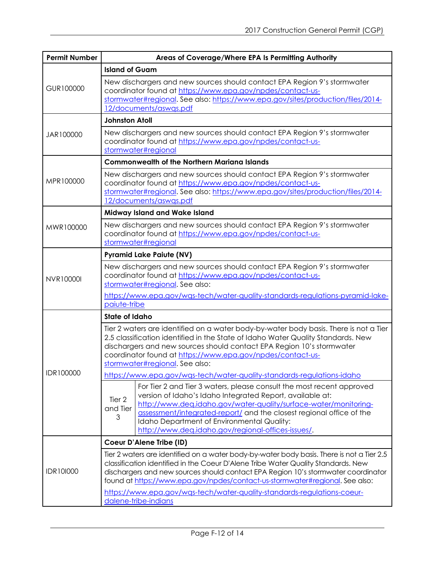| <b>Permit Number</b> | Areas of Coverage/Where EPA Is Permitting Authority                                                                                                                                                                                                                        |                                                                                                                                                                                                                                                                                                                                                                                                                              |  |
|----------------------|----------------------------------------------------------------------------------------------------------------------------------------------------------------------------------------------------------------------------------------------------------------------------|------------------------------------------------------------------------------------------------------------------------------------------------------------------------------------------------------------------------------------------------------------------------------------------------------------------------------------------------------------------------------------------------------------------------------|--|
| GUR100000            | <b>Island of Guam</b>                                                                                                                                                                                                                                                      |                                                                                                                                                                                                                                                                                                                                                                                                                              |  |
|                      | New dischargers and new sources should contact EPA Region 9's stormwater<br>coordinator found at https://www.epa.gov/npdes/contact-us-<br>stormwater#regional. See also: https://www.epa.gov/sites/production/files/2014-<br>12/documents/aswas.pdf                        |                                                                                                                                                                                                                                                                                                                                                                                                                              |  |
|                      | <b>Johnston Atoll</b>                                                                                                                                                                                                                                                      |                                                                                                                                                                                                                                                                                                                                                                                                                              |  |
| JAR100000            | New dischargers and new sources should contact EPA Region 9's stormwater<br>coordinator found at https://www.epa.gov/npdes/contact-us-<br>stormwater#regional                                                                                                              |                                                                                                                                                                                                                                                                                                                                                                                                                              |  |
|                      |                                                                                                                                                                                                                                                                            | <b>Commonwealth of the Northern Mariana Islands</b>                                                                                                                                                                                                                                                                                                                                                                          |  |
| MPR100000            |                                                                                                                                                                                                                                                                            | New dischargers and new sources should contact EPA Region 9's stormwater<br>coordinator found at https://www.epa.gov/npdes/contact-us-<br>stormwater#regional. See also: https://www.epa.gov/sites/production/files/2014-<br>12/documents/aswas.pdf                                                                                                                                                                          |  |
|                      |                                                                                                                                                                                                                                                                            | Midway Island and Wake Island                                                                                                                                                                                                                                                                                                                                                                                                |  |
| MWR100000            | New dischargers and new sources should contact EPA Region 9's stormwater<br>coordinator found at https://www.epa.gov/npdes/contact-us-<br>stormwater#regional                                                                                                              |                                                                                                                                                                                                                                                                                                                                                                                                                              |  |
|                      | <b>Pyramid Lake Paiute (NV)</b>                                                                                                                                                                                                                                            |                                                                                                                                                                                                                                                                                                                                                                                                                              |  |
| <b>NVR10000I</b>     | New dischargers and new sources should contact EPA Region 9's stormwater<br>coordinator found at https://www.epa.gov/npdes/contact-us-<br>stormwater#regional. See also:<br>https://www.epa.gov/wgs-tech/water-quality-standards-regulations-pyramid-lake-<br>paiute-tribe |                                                                                                                                                                                                                                                                                                                                                                                                                              |  |
|                      | <b>State of Idaho</b>                                                                                                                                                                                                                                                      |                                                                                                                                                                                                                                                                                                                                                                                                                              |  |
| IDR100000            |                                                                                                                                                                                                                                                                            | Tier 2 waters are identified on a water body-by-water body basis. There is not a Tier<br>2.5 classification identified in the State of Idaho Water Quality Standards. New<br>dischargers and new sources should contact EPA Region 10's stormwater<br>coordinator found at https://www.epa.gov/npdes/contact-us-<br>stormwater#regional. See also:<br>https://www.epa.gov/wgs-tech/water-quality-standards-regulations-idaho |  |
|                      |                                                                                                                                                                                                                                                                            | For Tier 2 and Tier 3 waters, please consult the most recent approved                                                                                                                                                                                                                                                                                                                                                        |  |
|                      | Tier <sub>2</sub><br>and Tier<br>3                                                                                                                                                                                                                                         | version of Idaho's Idaho Integrated Report, available at:<br>http://www.deq.idaho.gov/water-quality/surface-water/monitoring-<br>assessment/integrated-report/ and the closest regional office of the<br>Idaho Department of Environmental Quality:<br>http://www.deq.idaho.gov/regional-offices-issues/.                                                                                                                    |  |
|                      |                                                                                                                                                                                                                                                                            | Coeur D'Alene Tribe (ID)                                                                                                                                                                                                                                                                                                                                                                                                     |  |
| <b>IDR10I000</b>     |                                                                                                                                                                                                                                                                            | Tier 2 waters are identified on a water body-by-water body basis. There is not a Tier 2.5<br>classification identified in the Coeur D'Alene Tribe Water Quality Standards. New<br>dischargers and new sources should contact EPA Region 10's stormwater coordinator<br>found at https://www.epa.gov/npdes/contact-us-stormwater#regional. See also:                                                                          |  |
|                      | https://www.epa.gov/wqs-tech/water-quality-standards-regulations-coeur-<br>dalene-tribe-indians                                                                                                                                                                            |                                                                                                                                                                                                                                                                                                                                                                                                                              |  |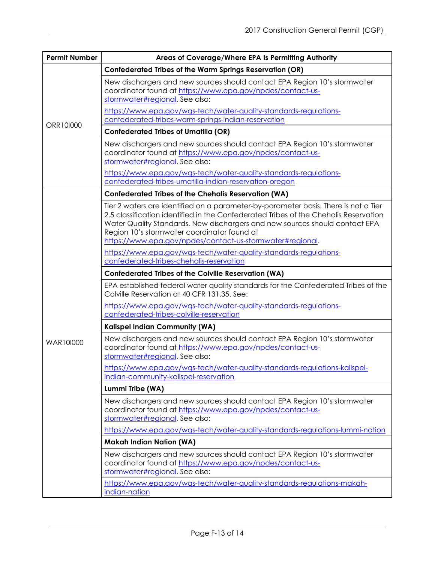| <b>Permit Number</b> | Areas of Coverage/Where EPA Is Permitting Authority                                                                                                                                                                                                                                                                                                                    |
|----------------------|------------------------------------------------------------------------------------------------------------------------------------------------------------------------------------------------------------------------------------------------------------------------------------------------------------------------------------------------------------------------|
| ORR101000            | Confederated Tribes of the Warm Springs Reservation (OR)                                                                                                                                                                                                                                                                                                               |
|                      | New dischargers and new sources should contact EPA Region 10's stormwater<br>coordinator found at https://www.epa.gov/npdes/contact-us-<br>stormwater#regional. See also:                                                                                                                                                                                              |
|                      | https://www.epa.gov/wgs-tech/water-quality-standards-regulations-<br>confederated-tribes-warm-springs-indian-reservation                                                                                                                                                                                                                                               |
|                      | <b>Confederated Tribes of Umatilla (OR)</b>                                                                                                                                                                                                                                                                                                                            |
|                      | New dischargers and new sources should contact EPA Region 10's stormwater<br>coordinator found at https://www.epa.gov/npdes/contact-us-<br>stormwater#regional. See also:                                                                                                                                                                                              |
|                      | https://www.epa.gov/wgs-tech/water-quality-standards-regulations-<br>confederated-tribes-umatilla-indian-reservation-oregon                                                                                                                                                                                                                                            |
| WAR101000            | <b>Confederated Tribes of the Chehalis Reservation (WA)</b>                                                                                                                                                                                                                                                                                                            |
|                      | Tier 2 waters are identified on a parameter-by-parameter basis. There is not a Tier<br>2.5 classification identified in the Confederated Tribes of the Chehalis Reservation<br>Water Quality Standards. New dischargers and new sources should contact EPA<br>Region 10's stormwater coordinator found at<br>https://www.epa.gov/npdes/contact-us-stormwater#regional. |
|                      | https://www.epa.gov/wqs-tech/water-quality-standards-regulations-<br>confederated-tribes-chehalis-reservation                                                                                                                                                                                                                                                          |
|                      | <b>Confederated Tribes of the Colville Reservation (WA)</b>                                                                                                                                                                                                                                                                                                            |
|                      | EPA established federal water quality standards for the Confederated Tribes of the<br>Colville Reservation at 40 CFR 131.35. See:                                                                                                                                                                                                                                      |
|                      | https://www.epa.gov/wqs-tech/water-quality-standards-regulations-<br>confederated-tribes-colville-reservation                                                                                                                                                                                                                                                          |
|                      | Kalispel Indian Community (WA)                                                                                                                                                                                                                                                                                                                                         |
|                      | New dischargers and new sources should contact EPA Region 10's stormwater<br>coordinator found at https://www.epa.gov/npdes/contact-us-<br>stormwater#regional. See also:                                                                                                                                                                                              |
|                      | https://www.epa.gov/was-tech/water-quality-standards-regulations-kalispel-                                                                                                                                                                                                                                                                                             |
|                      | indian-community-kalispel-reservation                                                                                                                                                                                                                                                                                                                                  |
|                      | Lummi Tribe (WA)                                                                                                                                                                                                                                                                                                                                                       |
|                      | New dischargers and new sources should contact EPA Region 10's stormwater<br>coordinator found at https://www.epa.gov/npdes/contact-us-<br>stormwater#regional. See also:                                                                                                                                                                                              |
|                      | https://www.epa.gov/wgs-tech/water-quality-standards-regulations-lummi-nation                                                                                                                                                                                                                                                                                          |
|                      | <b>Makah Indian Nation (WA)</b>                                                                                                                                                                                                                                                                                                                                        |
|                      | New dischargers and new sources should contact EPA Region 10's stormwater<br>coordinator found at https://www.epa.gov/npdes/contact-us-<br>stormwater#regional. See also:                                                                                                                                                                                              |
|                      | https://www.epa.gov/wgs-tech/water-quality-standards-regulations-makah-<br>indian-nation                                                                                                                                                                                                                                                                               |